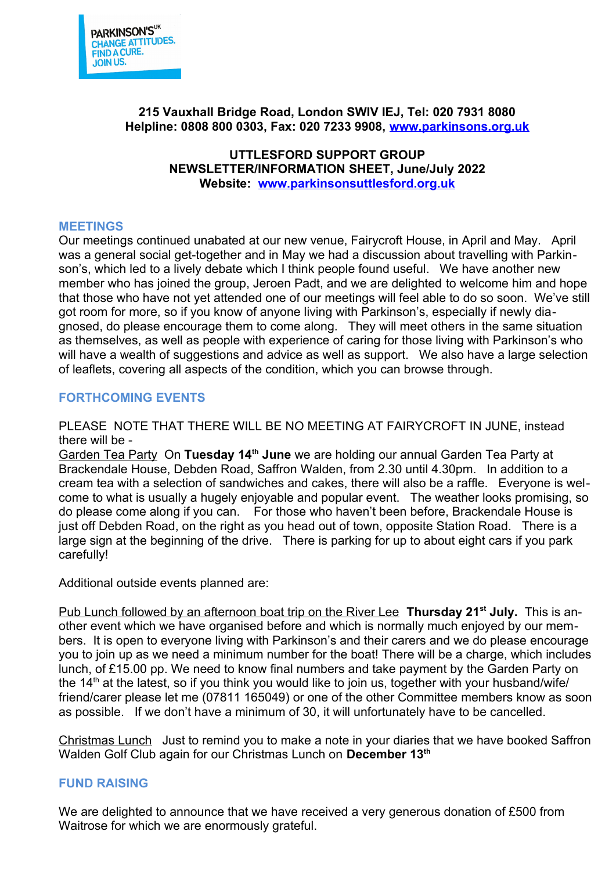

## **215 Vauxhall Bridge Road, London SWIV IEJ, Tel: 020 7931 8080 Helpline: 0808 800 0303, Fax: 020 7233 9908, [www.parkinsons.org.uk](http://www.parkinsons.org.uk/)**

### **UTTLESFORD SUPPORT GROUP NEWSLETTER/INFORMATION SHEET, June/July 2022 Website: [www.parkinsonsuttlesford.org.uk](http://www.parkinsonsuttlesford.org.uk/)**

## **MEETINGS**

Our meetings continued unabated at our new venue, Fairycroft House, in April and May. April was a general social get-together and in May we had a discussion about travelling with Parkinson's, which led to a lively debate which I think people found useful. We have another new member who has joined the group, Jeroen Padt, and we are delighted to welcome him and hope that those who have not yet attended one of our meetings will feel able to do so soon. We've still got room for more, so if you know of anyone living with Parkinson's, especially if newly diagnosed, do please encourage them to come along. They will meet others in the same situation as themselves, as well as people with experience of caring for those living with Parkinson's who will have a wealth of suggestions and advice as well as support. We also have a large selection of leaflets, covering all aspects of the condition, which you can browse through.

## **FORTHCOMING EVENTS**

PLEASE NOTE THAT THERE WILL BE NO MEETING AT FAIRYCROFT IN JUNE, instead there will be -

Garden Tea Party On **Tuesday 14th June** we are holding our annual Garden Tea Party at Brackendale House, Debden Road, Saffron Walden, from 2.30 until 4.30pm. In addition to a cream tea with a selection of sandwiches and cakes, there will also be a raffle. Everyone is welcome to what is usually a hugely enjoyable and popular event. The weather looks promising, so do please come along if you can. For those who haven't been before, Brackendale House is just off Debden Road, on the right as you head out of town, opposite Station Road. There is a large sign at the beginning of the drive. There is parking for up to about eight cars if you park carefully!

Additional outside events planned are:

Pub Lunch followed by an afternoon boat trip on the River Lee **Thursday 21st July.** This is another event which we have organised before and which is normally much enjoyed by our members. It is open to everyone living with Parkinson's and their carers and we do please encourage you to join up as we need a minimum number for the boat! There will be a charge, which includes lunch, of £15.00 pp. We need to know final numbers and take payment by the Garden Party on the  $14<sup>th</sup>$  at the latest, so if you think you would like to join us, together with your husband/wife/ friend/carer please let me (07811 165049) or one of the other Committee members know as soon as possible. If we don't have a minimum of 30, it will unfortunately have to be cancelled.

 Christmas Lunch Just to remind you to make a note in your diaries that we have booked Saffron Walden Golf Club again for our Christmas Lunch on **December 13th**

## **FUND RAISING**

We are delighted to announce that we have received a very generous donation of £500 from Waitrose for which we are enormously grateful.